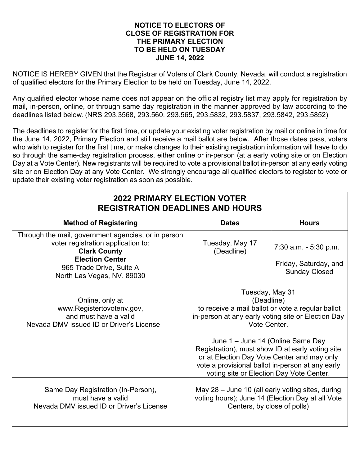## **NOTICE TO ELECTORS OF CLOSE OF REGISTRATION FOR THE PRIMARY ELECTION TO BE HELD ON TUESDAY JUNE 14, 2022**

NOTICE IS HEREBY GIVEN that the Registrar of Voters of Clark County, Nevada, will conduct a registration of qualified electors for the Primary Election to be held on Tuesday, June 14, 2022.

Any qualified elector whose name does not appear on the official registry list may apply for registration by mail, in-person, online, or through same day registration in the manner approved by law according to the deadlines listed below. (NRS 293.3568, 293.560, 293.565, 293.5832, 293.5837, 293.5842, 293.5852)

The deadlines to register for the first time, or update your existing voter registration by mail or online in time for the June 14, 2022, Primary Election and still receive a mail ballot are below. After those dates pass, voters who wish to register for the first time, or make changes to their existing registration information will have to do so through the same-day registration process, either online or in-person (at a early voting site or on Election Day at a Vote Center). New registrants will be required to vote a provisional ballot in-person at any early voting site or on Election Day at any Vote Center. We strongly encourage all qualified electors to register to vote or update their existing voter registration as soon as possible.

| <b>2022 PRIMARY ELECTION VOTER</b><br><b>REGISTRATION DEADLINES AND HOURS</b>                                                                                                                        |                                                                                                                                                                                                                                                                                                                                                                                                  |                                                                           |  |
|------------------------------------------------------------------------------------------------------------------------------------------------------------------------------------------------------|--------------------------------------------------------------------------------------------------------------------------------------------------------------------------------------------------------------------------------------------------------------------------------------------------------------------------------------------------------------------------------------------------|---------------------------------------------------------------------------|--|
| <b>Method of Registering</b>                                                                                                                                                                         | <b>Dates</b>                                                                                                                                                                                                                                                                                                                                                                                     | <b>Hours</b>                                                              |  |
| Through the mail, government agencies, or in person<br>voter registration application to:<br><b>Clark County</b><br><b>Election Center</b><br>965 Trade Drive, Suite A<br>North Las Vegas, NV. 89030 | Tuesday, May 17<br>(Deadline)                                                                                                                                                                                                                                                                                                                                                                    | $7:30$ a.m. $-5:30$ p.m.<br>Friday, Saturday, and<br><b>Sunday Closed</b> |  |
| Online, only at<br>www.Registertovotenv.gov,<br>and must have a valid<br>Nevada DMV issued ID or Driver's License                                                                                    | Tuesday, May 31<br>(Deadline)<br>to receive a mail ballot or vote a regular ballot<br>in-person at any early voting site or Election Day<br>Vote Center.<br>June 1 - June 14 (Online Same Day<br>Registration), must show ID at early voting site<br>or at Election Day Vote Center and may only<br>vote a provisional ballot in-person at any early<br>voting site or Election Day Vote Center. |                                                                           |  |
| Same Day Registration (In-Person),<br>must have a valid<br>Nevada DMV issued ID or Driver's License                                                                                                  | May 28 – June 10 (all early voting sites, during<br>voting hours); June 14 (Election Day at all Vote<br>Centers, by close of polls)                                                                                                                                                                                                                                                              |                                                                           |  |